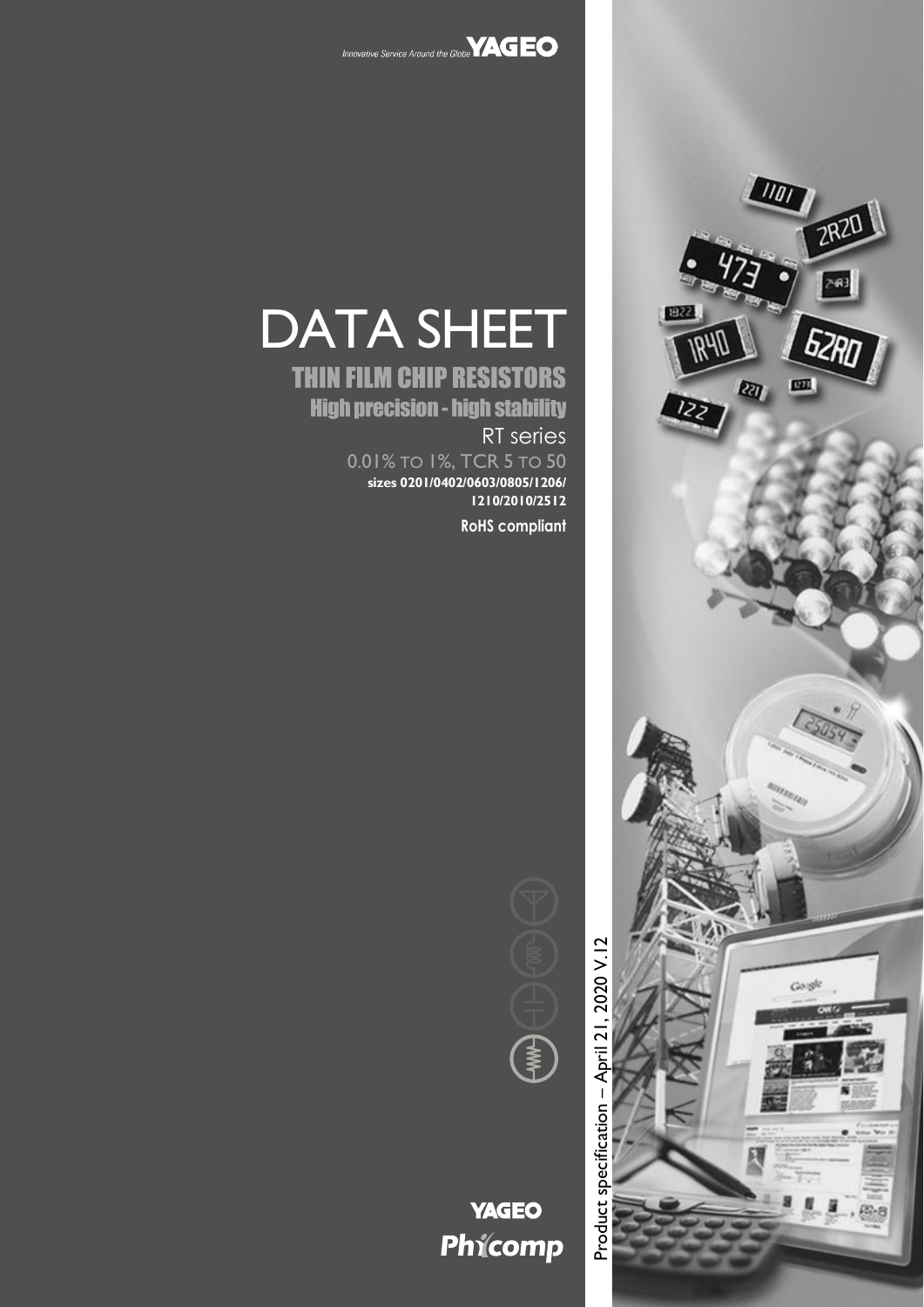



# THIN FILM CHIP RESISTORS High precision- high stability RT series

0.01% TO 1%, TCR 5 TO 50 **sizes 0201/0402/0603/0805/1206/ 1210/2010/2512 RoHS compliant**





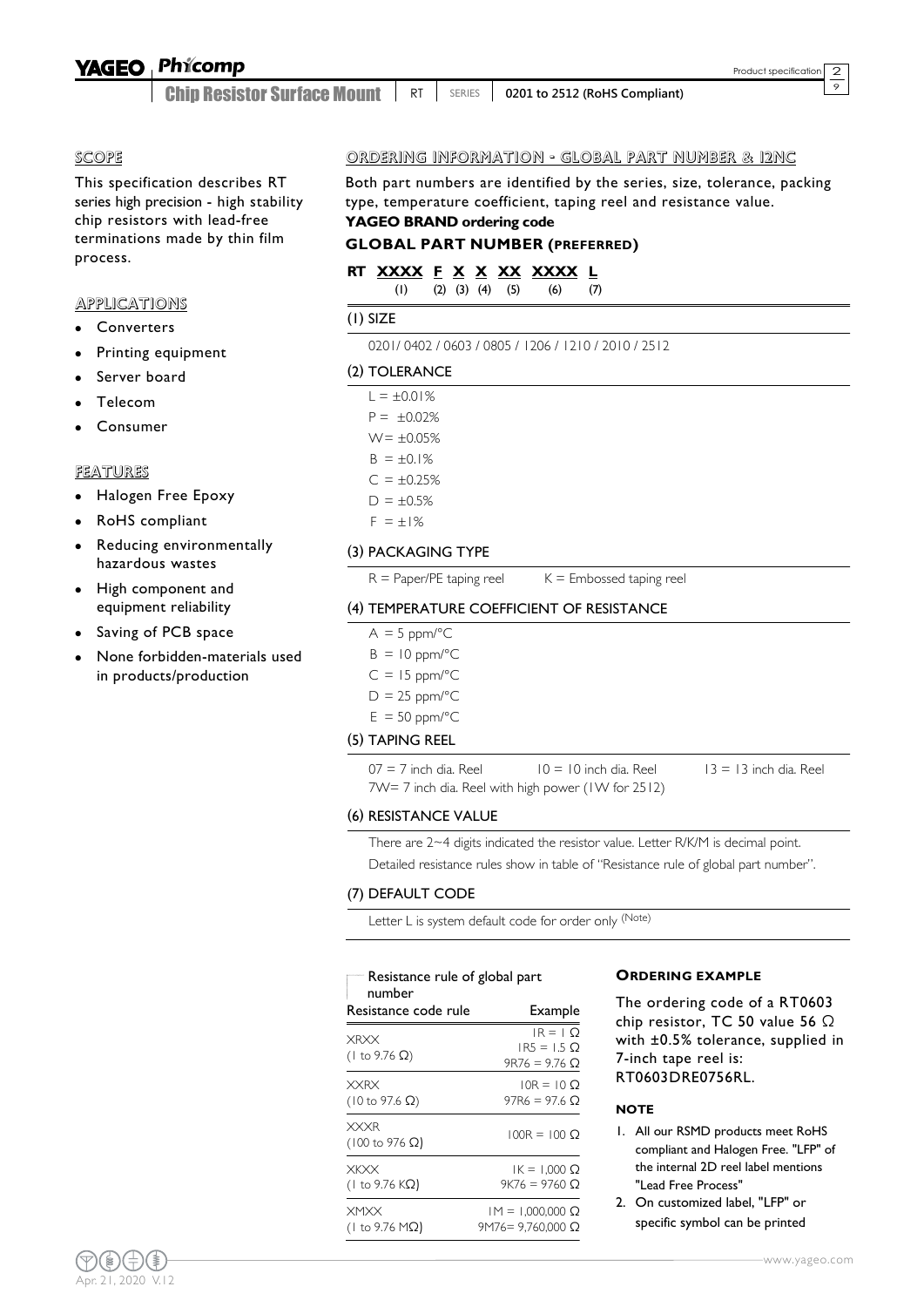#### Phicomp **YAGEO**

Chip Resistor Surface Mount RT SERIES **0201 to 2512 (RoHS Compliant)**  $\overline{\circ}$ 

#### SCOPE

This specification describes RT series high precision - high stability chip resistors with lead-free terminations made by thin film process.

#### APPLICATIONS

- Converters
- Printing equipment
- Server board
- Telecom
- Consumer

### FEATURES

- Halogen Free Epoxy
- RoHS compliant
- Reducing environmentally hazardous wastes
- High component and equipment reliability
- Saving of PCB space
- None forbidden-materials used in products/production

# ORDERING INFORMATION - GLOBAL PART NUMBER & 12NC

Both part numbers are identified by the series, size, tolerance, packing type, temperature coefficient, taping reel and resistance value. **YAGEO BRAND ordering code**

### **GLOBAL PART NUMBER (PREFERRED)**

# **RT XXXX F X X XX XXXX L**

(1) (2) (3) (4) (5) (6) (7)

# (1) SIZE

0201/ 0402 / 0603 / 0805 / 1206 / 1210 / 2010 / 2512

### (2) TOLERANCE

| $L = \pm 0.01%$  |  |
|------------------|--|
| $P = \pm 0.02\%$ |  |
| $W = \pm 0.05%$  |  |
| $B = \pm 0.1\%$  |  |
| $C = \pm 0.25%$  |  |
|                  |  |

 $D = \pm 0.5%$ 

# $F = \pm 1\%$

### (3) PACKAGING TYPE

 $R =$  Paper/PE taping reel  $K =$  Embossed taping reel

# (4) TEMPERATURE COEFFICIENT OF RESISTANCE

- $A = 5$  ppm/ $^{\circ}C$
- $B = 10$  ppm/°C
- $C = 15$  ppm/ $^{\circ}$ C
- $D = 25$  ppm/ $^{\circ}C$
- $E = 50$  ppm/ $^{\circ}$ C

# (5) TAPING REEL

 $07 = 7$  inch dia. Reel  $10 = 10$  inch dia. Reel  $13 = 13$  inch dia. Reel 7W= 7 inch dia. Reel with high power (1W for 2512)

# (6) RESISTANCE VALUE

There are 2~4 digits indicated the resistor value. Letter R/K/M is decimal point. Detailed resistance rules show in table of "Resistance rule of global part number".

#### (7) DEFAULT CODE

Letter L is system default code for order only (Note)

| Resistance rule of global part<br>number      |                                                     |  |  |  |  |  |
|-----------------------------------------------|-----------------------------------------------------|--|--|--|--|--|
| Resistance code rule                          | Example                                             |  |  |  |  |  |
| <b>XRXX</b><br>(1 to 9.76 $\Omega$ )          | $IR = 1$ O<br>$IR5 = 1.5$ $\Omega$<br>$9R76 = 9.76$ |  |  |  |  |  |
| <b>XXRX</b><br>$(10 \text{ to } 97.6 \Omega)$ | $10R = 10Q$<br>97R6 = 97.6 Q                        |  |  |  |  |  |
| <b>XXXR</b><br>$(100 \text{ to } 976 \Omega)$ | $100R = 100 \Omega$                                 |  |  |  |  |  |
| <b>XKXX</b><br>(1 to 9.76 KΩ)                 | $IK = 1.000 \Omega$<br>$9K76 = 9760$ $\Omega$       |  |  |  |  |  |
| <b>XMXX</b><br>(1 to 9.76 MΩ)                 | $IM = 1,000,000 \Omega$<br>$9M76 = 9,760,000$ Ω     |  |  |  |  |  |

#### **ORDERING EXAMPLE**

The ordering code of a RT0603 chip resistor, TC 50 value 56 Ω with ±0.5% tolerance, supplied in 7-inch tape reel is: RT0603DRE0756RL.

#### **NOTE**

- 1. All our RSMD products meet RoHS compliant and Halogen Free. "LFP" of the internal 2D reel label mentions "Lead Free Process"
- 2. On customized label, "LFP" or specific symbol can be printed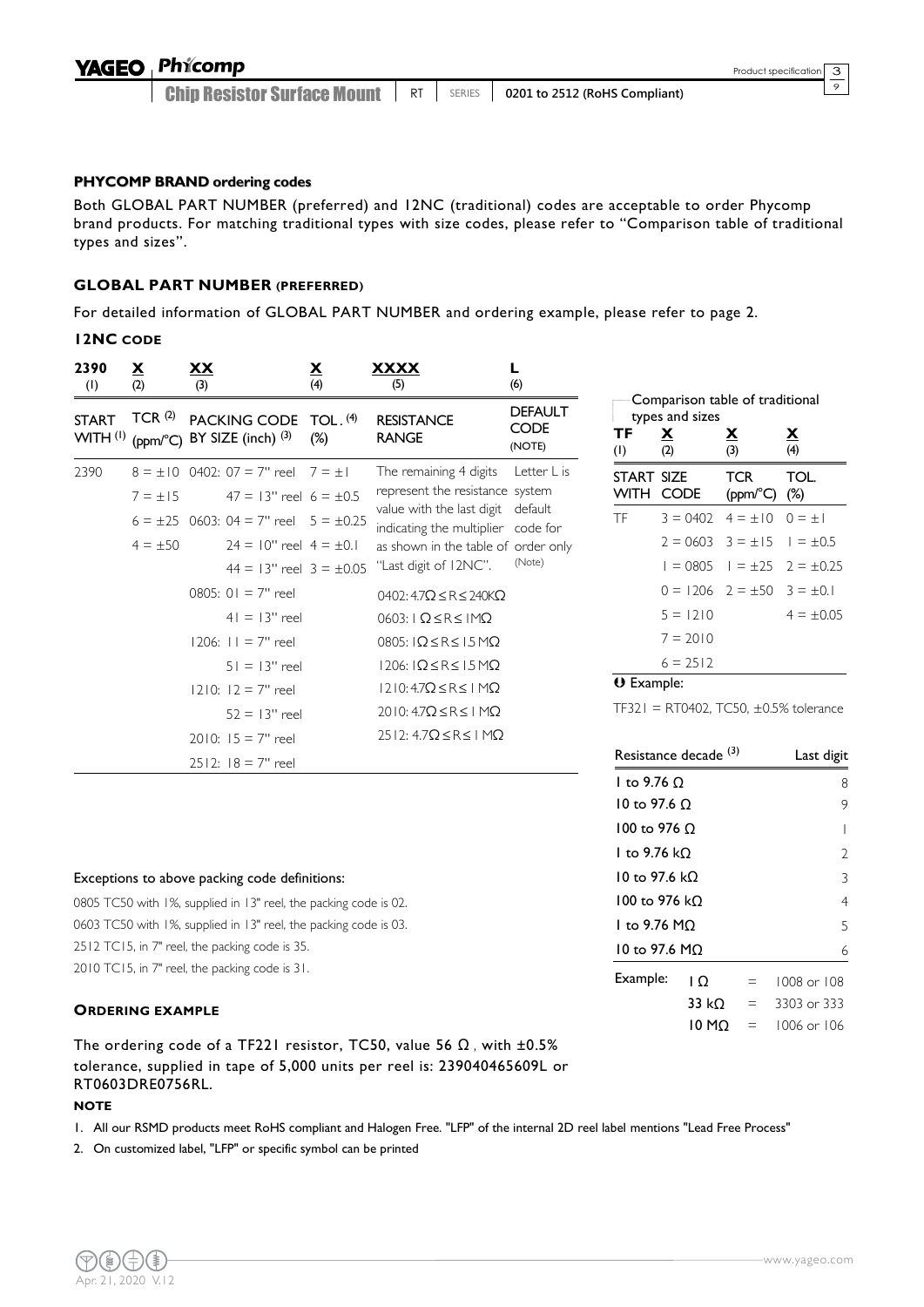Chip Resistor Surface Mount **RT** | SERIES | 0201 to 2512 (RoHS Compliant)  $\circ$ 

# **PHYCOMP BRAND ordering codes**

Both GLOBAL PART NUMBER (preferred) and 12NC (traditional) codes are acceptable to order Phycomp brand products. For matching traditional types with size codes, please refer to "Comparison table of traditional types and sizes".

# **GLOBAL PART NUMBER (PREFERRED)**

For detailed information of GLOBAL PART NUMBER and ordering example, please refer to page 2.

# **12NC CODE**

| 2390<br>(1)                         | $\overline{\mathbf{X}}$<br>(2) | <u>XX</u><br>(3)                                                                              | $\overline{\mathbf{X}}$<br>(4) | <u>XXXX</u><br>(5)                                                   | (6)                                     |                   |                                                                       |                 |
|-------------------------------------|--------------------------------|-----------------------------------------------------------------------------------------------|--------------------------------|----------------------------------------------------------------------|-----------------------------------------|-------------------|-----------------------------------------------------------------------|-----------------|
| <b>START</b><br>WITH <sup>(1)</sup> |                                | TCR <sup>(2)</sup> PACKING CODE TOL. <sup>(4)</sup><br>(ppm/ $^{\circ}$ C) BY SIZE (inch) (3) | $(\%)$                         | <b>RESISTANCE</b><br><b>RANGE</b>                                    | <b>DEFAULT</b><br><b>CODE</b><br>(NOTE) | ΤF<br>(1)         | Comparison table<br>types and sizes<br>$\overline{\mathbf{X}}$<br>(2) | <u>х</u><br>(3) |
| 2390                                |                                | $8 = \pm 10$ 0402: 07 = 7" reel 7 = $\pm 1$                                                   |                                | The remaining 4 digits                                               | Letter L is                             | START SIZE        |                                                                       | т               |
|                                     | $7 = \pm 15$                   | $47 = 13$ " reel $6 = \pm 0.5$                                                                |                                | represent the resistance system<br>value with the last digit default |                                         |                   | WITH CODE                                                             | (F              |
|                                     |                                | $6 = \pm 25$ 0603: 04 = 7" reel $5 = \pm 0.25$                                                |                                | indicating the multiplier code for                                   |                                         | <b>TF</b>         | $3 = 0402$                                                            | $\overline{4}$  |
|                                     | $4 = \pm 50$                   | $24 = 10$ " reel $4 = \pm 0.1$                                                                |                                | as shown in the table of order only                                  |                                         |                   | $2 = 0603$ 3                                                          |                 |
|                                     |                                | $44 = 13"$ reel $3 = \pm 0.05$                                                                |                                | "Last digit of 12NC".                                                | (Note)                                  |                   | $1 = 0805$                                                            |                 |
|                                     |                                | 0805: $01 = 7"$ reel                                                                          |                                | 0402: $4.7\Omega \leq R \leq 240K\Omega$                             |                                         |                   | $0 = 1206$ 2                                                          |                 |
|                                     |                                | $41 = 13"$ reel                                                                               |                                | $0603: I$ $\Omega \leq R \leq I$ M $\Omega$                          |                                         |                   | $5 = 1210$                                                            |                 |
|                                     |                                | $1206: 11 = 7"$ reel                                                                          |                                | $0805$ : $\Omega \leq R \leq 1.5 M\Omega$                            |                                         |                   | $7 = 2010$                                                            |                 |
|                                     |                                | $51 = 13"$ reel                                                                               |                                | $1206$ : $\Omega \leq R \leq 15 M\Omega$                             |                                         |                   | $6 = 2512$                                                            |                 |
|                                     |                                | $1210$ : $12 = 7$ " reel                                                                      |                                | $1210:47\Omega \leq R \leq 1$ M $\Omega$                             |                                         | <b>U</b> Example: |                                                                       |                 |
|                                     |                                | $52 = 13"$ reel                                                                               |                                | $2010:47\Omega \leq R \leq 1$ M $\Omega$                             |                                         |                   | $TF321 = RT0402, TC!$                                                 |                 |
|                                     |                                | $2010: 15 = 7"$ reel                                                                          |                                | $2512: 4.7\Omega \leq R \leq 1 M\Omega$                              |                                         |                   |                                                                       |                 |
|                                     |                                | $2512: 18 = 7"$ reel                                                                          |                                |                                                                      |                                         |                   | Resistance decade <sup>(3</sup>                                       |                 |

# e of traditional **TF X X X**  $(1)$   $(2)$   $(3)$   $(4)$  $CR$ (ppm/°C) (%) TOL.  $= \pm 10$  0 =  $\pm 1$  $= \pm 15$   $= \pm 0.5$  $= \pm 25$  2 =  $\pm 0.25$  $= \pm 50$  3 =  $\pm 0.1$  $4 = \pm 0.05$

50,  $\pm$ 0.5% tolerance

| Resistance decade <sup>(3)</sup> | Last digit |     |             |
|----------------------------------|------------|-----|-------------|
| 1 to 9.76 O                      | 8          |     |             |
| 10 to 97.6 O                     |            |     | 9           |
| 100 to 976 O                     |            |     |             |
| 1 to 9.76 kO                     | V          |     |             |
| 10 to 97.6 kO                    |            |     | 3           |
| 100 to 976 kO                    |            |     | 4           |
| 1 to 9.76 MO                     |            |     | 5           |
| 10 to 97.6 MO                    |            |     | 6           |
| Example:                         | I O        | $=$ | 1008 or 108 |
|                                  | 33 kO      | $=$ | 3303 or 333 |
|                                  | 10 MO      |     | 1006 or 106 |

### Exceptions to above packing code definitions:

0805 TC50 with 1%, supplied in 13" reel, the packing code is 02. 0603 TC50 with 1%, supplied in 13" reel, the packing code is 03. 2512 TC15, in 7" reel, the packing code is 35. 2010 TC15, in 7" reel, the packing code is 31.

# **ORDERING EXAMPLE**

The ordering code of a TF221 resistor, TC50, value 56  $\Omega$ , with  $\pm 0.5\%$ tolerance, supplied in tape of 5,000 units per reel is: 239040465609L or RT0603DRE0756RL.

#### **NOTE**

1. All our RSMD products meet RoHS compliant and Halogen Free. "LFP" of the internal 2D reel label mentions "Lead Free Process"

2. On customized label, "LFP" or specific symbol can be printed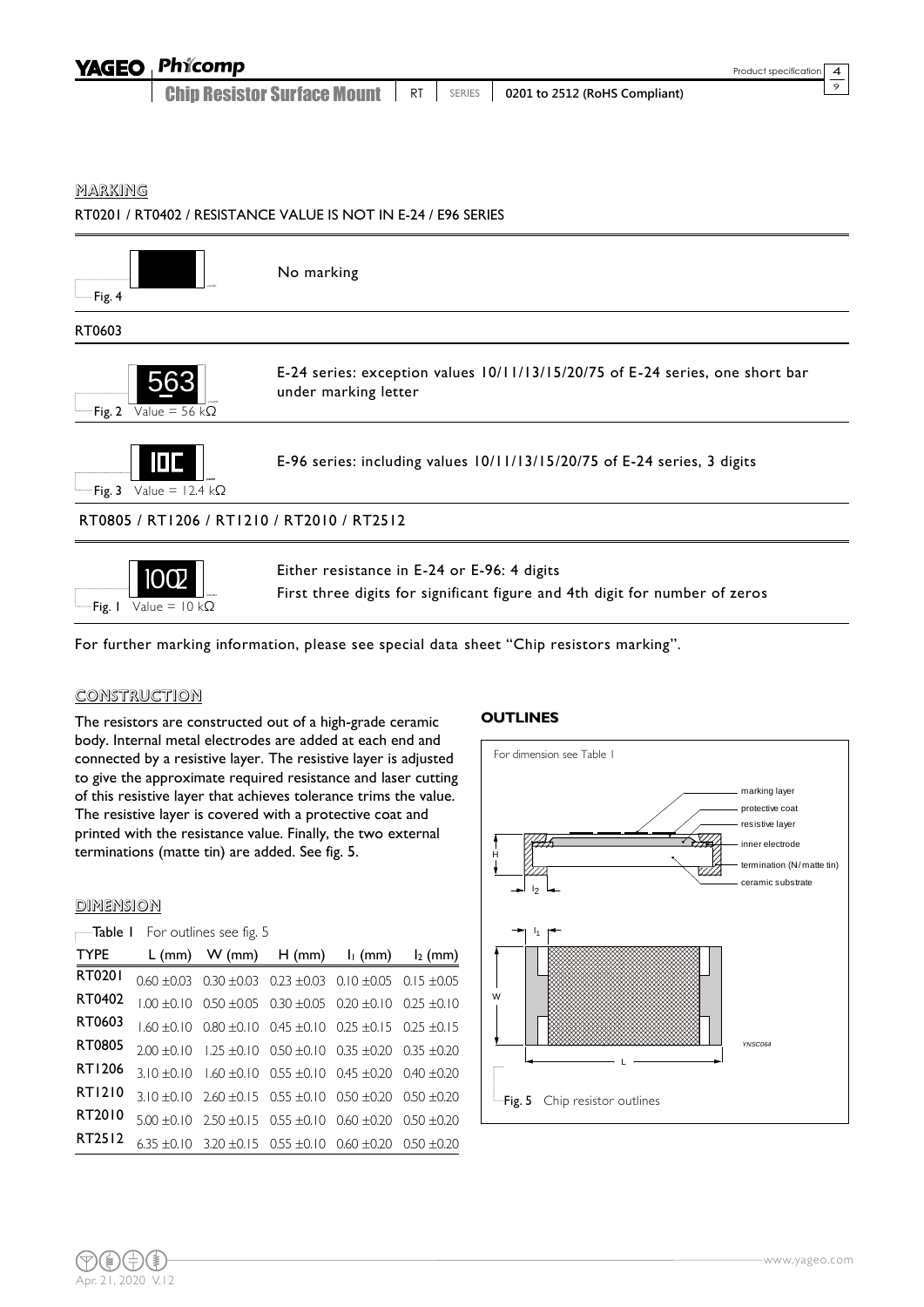| <b>YAGEO Phicomp</b>               |           |               |                                           | Product specification 4 |  |
|------------------------------------|-----------|---------------|-------------------------------------------|-------------------------|--|
| <b>Chip Resistor Surface Mount</b> | <b>RT</b> | <b>SERIES</b> | $\parallel$ 0201 to 2512 (RoHS Compliant) |                         |  |

# MARKING

RT0201 / RT0402 / RESISTANCE VALUE IS NOT IN E-24 / E96 SERIES



For further marking information, please see special data sheet "Chip resistors marking".

#### CONSTRUCTION

The resistors are constructed out of a high-grade ceramic body. Internal metal electrodes are added at each end and connected by a resistive layer. The resistive layer is adjusted to give the approximate required resistance and laser cutting of this resistive layer that achieves tolerance trims the value. The resistive layer is covered with a protective coat and printed with the resistance value. Finally, the two external terminations (matte tin) are added. See fig. 5.

### DIMENSION

| <b>TYPE</b> | L (mm) W (mm) $H (mm)$ $I_1 (mm)$ $I_2 (mm)$                                    |  |  |
|-------------|---------------------------------------------------------------------------------|--|--|
| RT0201      | $0.60 \pm 0.03$ $0.30 \pm 0.03$ $0.23 \pm 0.03$ $0.10 \pm 0.05$ $0.15 \pm 0.05$ |  |  |
| RT0402      | $1.00 \pm 0.10$ 0.50 $\pm 0.05$ 0.30 $\pm 0.05$ 0.20 $\pm 0.10$ 0.25 $\pm 0.10$ |  |  |
| RT0603      | $1.60 \pm 0.10$ 0.80 $\pm 0.10$ 0.45 $\pm 0.10$ 0.25 $\pm 0.15$ 0.25 $\pm 0.15$ |  |  |
| RT0805      | $2.00 \pm 0.10$ 1.25 $\pm 0.10$ 0.50 $\pm 0.10$ 0.35 $\pm 0.20$ 0.35 $\pm 0.20$ |  |  |
| RT1206      | $3.10 \pm 0.10$ $1.60 \pm 0.10$ $0.55 \pm 0.10$ $0.45 \pm 0.20$ $0.40 \pm 0.20$ |  |  |
| RT1210      | $3.10 \pm 0.10$ $2.60 \pm 0.15$ $0.55 \pm 0.10$ $0.50 \pm 0.20$ $0.50 \pm 0.20$ |  |  |
| RT2010      | $5.00 \pm 0.10$ $2.50 \pm 0.15$ $0.55 \pm 0.10$ $0.60 \pm 0.20$ $0.50 \pm 0.20$ |  |  |
| RT2512      | $6.35 \pm 0.10$ 3.20 $\pm 0.15$ 0.55 $\pm 0.10$ 0.60 $\pm 0.20$ 0.50 $\pm 0.20$ |  |  |
|             |                                                                                 |  |  |

#### **OUTLINES**

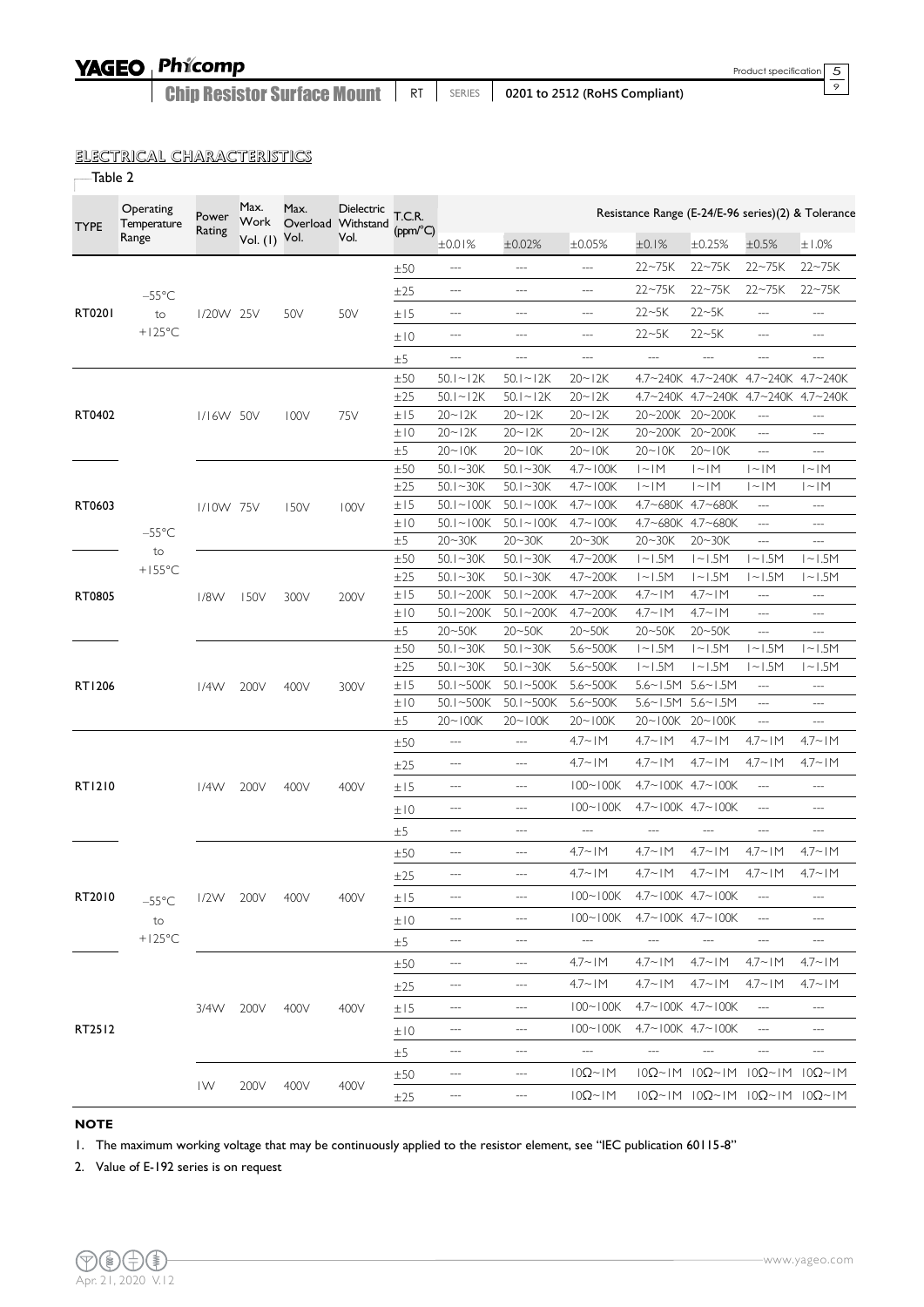# YAGEO Phicomp

Chip Resistor Surface Mount | RT | SERIES | 0201 to 2512 (RoHS Compliant)

# ELECTRICAL CHARACTERISTICS

 $\overline{\phantom{a}}$ Table 2

| <b>TYPE</b> | Operating<br>Temperature | Power<br>Rating | Max.<br>Work | Max. | Dielectric<br>Overload Withstand | T.C.R.<br>(ppm/°C) |                            |                               |                          |                            |                                                             |                                            | Resistance Range (E-24/E-96 series)(2) & Tolerance |
|-------------|--------------------------|-----------------|--------------|------|----------------------------------|--------------------|----------------------------|-------------------------------|--------------------------|----------------------------|-------------------------------------------------------------|--------------------------------------------|----------------------------------------------------|
|             | Range                    |                 | Vol. (1)     | Vol. | Vol.                             |                    | ±0.01%                     | ±0.02%                        | ±0.05%                   | ±0.1%                      | ±0.25%                                                      | $\pm 0.5\%$                                | ±1.0%                                              |
|             |                          |                 |              |      |                                  | ±50                | $\overline{\phantom{a}}$   | $\overline{\phantom{a}}$      | ---                      | $22 - 75K$                 | $22 - 75K$                                                  | $22 - 75K$                                 | $22 - 75K$                                         |
|             | $-55^{\circ}$ C          |                 |              |      |                                  | ±25                | $-\cdots$                  | $\overline{\phantom{a}}$      | ---                      | $22 - 75K$                 | $22 - 75K$                                                  | $22 - 75K$                                 | $22 - 75K$                                         |
| RT0201      | to                       | I/20W 25V       |              | 50V  | 50V                              | ±15                | $\overline{a}$             | $\overline{a}$                | $---$                    | $22 - 5K$                  | $22 - 5K$                                                   | $\overline{\phantom{a}}$                   | $---$                                              |
|             | $+125^{\circ}$ C         |                 |              |      |                                  |                    | $\overline{a}$             | $\overline{a}$                | ---                      | $22 - 5K$                  | $22 - 5K$                                                   | ---                                        | ---                                                |
|             |                          |                 |              |      |                                  | ±10                |                            |                               |                          |                            |                                                             |                                            |                                                    |
|             |                          |                 |              |      |                                  | $\pm 5$            | $---$                      | $\qquad \qquad - -$           | $\qquad \qquad -$        | $\overline{\phantom{a}}$   | $\overline{a}$                                              | ---                                        | ---                                                |
|             |                          |                 |              |      |                                  | ±50<br>±25         | $50.1 - 12K$               | $50.1 - 12K$                  | $20 - 12K$               |                            | 4.7~240K 4.7~240K 4.7~240K 4.7~240K                         | 4.7~240K 4.7~240K 4.7~240K                 |                                                    |
| RT0402      |                          | I/I6W 50V       |              | 100V | 75V                              | ±15                | $50.1 - 12K$<br>$20 - 12K$ | $50.1 - 12K$<br>$20 - 12K$    | $20 - 12K$<br>$20 - 12K$ | $4.7 - 240K$<br>20~200K    | $20 - 200K$                                                 | $\overline{\phantom{a}}$                   | ---                                                |
|             |                          |                 |              |      |                                  | ±10                | $20 - 12K$                 | $20 - 12K$                    | $20 - 12K$               | 20~200K                    | $20 - 200K$                                                 | $\overline{\phantom{a}}$                   | ---                                                |
|             |                          |                 |              |      |                                  | ±5                 | $20 - 10K$                 | $20 - 10K$                    | $20 - 10K$               | $20 - 10K$                 | $20 - 10K$                                                  | $\overline{\phantom{a}}$                   | $\cdots$                                           |
|             |                          |                 |              |      |                                  | ±50                | $50.1 - 30K$               | $50.1 - 30K$                  | $4.7 - 100K$             | $ - M $                    | $ - M $                                                     | 1~1M                                       | 1~1M                                               |
|             |                          |                 |              |      |                                  | ±25                | $50.1 - 30K$               | $50.1 - 30K$                  | $4.7 - 100K$             | $ - M $                    | $ - M $                                                     | 1~1M                                       | $ - M $                                            |
| RT0603      |                          | 1/10W 75V       |              | 150V | 100V                             | ±15                | $50.1 - 100K$              | $50.1 - 100K$                 | $4.7 - 100K$             |                            | 4.7~680K 4.7~680K                                           | $\overline{\phantom{a}}$                   | $\overline{\phantom{a}}$                           |
|             | $-55^{\circ}$ C          |                 |              |      |                                  | ±10                | $50.1 - 100K$              | $50.1 - 100K$                 | $4.7 - 100K$             |                            | 4.7~680K 4.7~680K                                           | $\overline{\phantom{a}}$                   | $\overline{\phantom{a}}$                           |
|             | to                       |                 |              |      |                                  | $\pm 5$            | $20 - 30K$                 | $20 - 30K$                    | $20 - 30K$               | $20 - 30K$                 | $20 - 30K$                                                  | ---                                        | $---$                                              |
|             | $+155^{\circ}$ C         |                 |              |      |                                  | ±50                | $50.1 - 30K$               | $50.1 - 30K$                  | $4.7 - 200K$             | $1 - 1.5M$                 | $ -1.5M$                                                    | $ -1.5M$                                   | $ -1.5M$                                           |
|             |                          |                 |              |      |                                  | ±25                | $50.1 - 30K$               | $50.1 - 30K$                  | $4.7 - 200K$             | $1 - 1.5M$                 | $ -1.5M$                                                    | $1 - 1.5M$                                 | $1 - 1.5M$                                         |
| RT0805      |                          | 1/8W            | 150V         | 300V | 200V                             | ±15                | $50.1 - 200K$              | $50.1 - 200K$                 | $4.7 - 200K$             | $4.7~\times$   M           | $4.7 \sim 1$ M                                              | $\overline{\phantom{a}}$                   | $---$                                              |
|             |                          |                 |              |      |                                  | ±10<br>±5          | $50.1 - 200K$<br>20~50K    | $50.1 - 200K$<br>20~50K       | $4.7 - 200K$<br>20~50K   | $4.7~\times$   M<br>20~50K | $4.7 \sim 1$ M<br>20~50K                                    | $\overline{a}$<br>$\overline{\phantom{a}}$ | ---<br>$---$                                       |
|             |                          |                 |              |      |                                  | ±50                | $50.1 - 30K$               | $50.1 - 30K$                  | 5.6~500K                 | $1 - 1.5M$                 | $ -1.5M$                                                    | $ -1.5M$                                   | $1 - 1.5M$                                         |
|             |                          |                 |              |      |                                  | ±25                | $50.1 - 30K$               | $50.1 - 30K$                  | $5.6 - 500K$             | $1 - 1.5M$                 | $ -1.5M$                                                    | $ -1.5M$                                   | $1 - 1.5M$                                         |
| RT1206      |                          | 1/4W            | 200V         | 400V | 300V                             | ±15                | 50.1 $\sim$ 500K           | $50.1 - 500K$                 | $5.6 - 500K$             | $5.6 - 1.5M$               | $5.6 - 1.5M$                                                | $\cdots$                                   | $---$                                              |
|             |                          |                 |              |      |                                  | ±10                | 50.1 $-500K$               | $50.1 - 500K$                 | $5.6 - 500K$             | $5.6 - 1.5M$               | $5.6 - 1.5M$                                                | $\overline{\phantom{a}}$                   | $\overline{\phantom{a}}$                           |
|             |                          |                 |              |      |                                  | ±5                 | $20 - 100K$                | $20 - 100K$                   | $20 - 100K$              | $20 - 100K$                | $20 - 100K$                                                 | $\overline{\phantom{a}}$                   | ---                                                |
|             |                          |                 |              |      |                                  | ±50                | ---                        | $---$                         | $4.7 \sim 1$ M           | $4.7~\times$   M           | $4.7 \sim 1$ M                                              | $4.7 \sim 1M$                              | $4.7 \sim 1$ M                                     |
|             |                          |                 |              |      |                                  | ±25                | $---$                      | $---$                         | $4.7 \sim 1$ M           | $4.7 \sim 1$ M             | $4.7 \sim 1$ M                                              | $4.7 \sim 1$ M                             | $4.7 - 1M$                                         |
| RT1210      |                          | 1/4W            | 200V         | 400V | 400V                             | ±15                | $---$                      | $---$                         | $100 - 100K$             |                            | 4.7~100K 4.7~100K                                           | $\overline{\phantom{a}}$                   | $\overline{\phantom{a}}$                           |
|             |                          |                 |              |      |                                  | ±10                | $---$                      | $\overline{\phantom{a}}$      | $100 - 100K$             |                            | 4.7~100K 4.7~100K                                           | $---$                                      | ---                                                |
|             |                          |                 |              |      |                                  | ±5                 | $---$                      | $\qquad \qquad - -$           | $\hspace{0.02in} \ldots$ | $\overline{\phantom{a}}$   | $\overline{\phantom{a}}$                                    | $\overline{\phantom{a}}$                   | $\cdots$                                           |
|             |                          |                 |              |      |                                  | ±50                | $---$                      | $---$                         | $4.7 \sim 1$ M           | $4.7 \sim 1$ M             | $4.7 \sim 1$ M                                              | $4.7 \sim 1$ M                             | $4.7 \sim 1$ M                                     |
|             |                          |                 |              |      |                                  | $\pm 25$           | ---                        | $\overline{a}$                | $4.7 \sim 1$ M           | $4.7 - 1M$                 | $4.7 \sim 1$ M                                              | $4.7 \sim 1$ M                             | $4.7 \sim 1$ M                                     |
| RT2010      | $-55^{\circ}$ C          | 1/2W 200V       |              | 400V | 400V                             | ±15                | ---                        | $---$                         | $100 - 100K$             | 4.7~100K 4.7~100K          |                                                             | $\qquad \qquad - \qquad$                   | ---                                                |
|             | to                       |                 |              |      |                                  | ±10                | ---                        | ---                           | $100 - 100K$             |                            | $4.7 \sim 100K$ $4.7 \sim 100K$                             | $---$                                      | ---                                                |
|             | $+125^{\circ}$ C         |                 |              |      |                                  | ±5                 | ---                        | $---$                         | $\hspace{0.05cm} \ldots$ | $\cdots$                   | ---                                                         | ---                                        | ---                                                |
|             |                          |                 |              |      |                                  | ±50                | ---                        |                               | $4.7 \sim 1$ M           | $4.7 \sim 1$ M             | $4.7 \sim 1$ M                                              | $4.7 \sim 1$ M                             | $4.7 - 1M$                                         |
|             |                          |                 |              |      |                                  | ±25                | ---                        | $\qquad \qquad - -$           | $4.7 \sim 1$ M           | $4.7 \sim 1$ M             | $4.7 \sim 1$ M                                              | $4.7 \sim 1$ M                             | $4.7 \sim 1$ M                                     |
|             |                          | 3/4W 200V       |              | 400V | 400V                             | ±15                | ---                        | $\hspace{1.5cm} \textbf{---}$ | $100 - 100K$             |                            | $4.7 \sim 100K$ $4.7 \sim 100K$                             | $\cdots$                                   | $-\cdots$                                          |
| RT2512      |                          |                 |              |      |                                  | ±10                | $---$                      | $---$                         | $100 - 100K$             |                            | $4.7 \sim 100K$ $4.7 \sim 100K$                             | $\overline{\phantom{a}}$                   | ---                                                |
|             |                          |                 |              |      |                                  | $\pm 5$            | ---                        |                               | $\hspace{0.05cm} \cdots$ | $\overline{\phantom{a}}$   |                                                             | ---                                        |                                                    |
|             |                          |                 |              |      |                                  | ±50                | ---                        | $\qquad \qquad - \qquad$      | $10\Omega$ ~ $1$ M       |                            | $10\Omega~1$ M $10\Omega~1$ M $10\Omega~1$ M $10\Omega~1$ M |                                            |                                                    |
|             |                          | IW              | 200V         | 400V | 400V                             | ±25                | ---                        | ---                           | $10\Omega$ ~ $1$ M       |                            | $10\Omega~1$ M $10\Omega~1$ M $10\Omega~1$ M $10\Omega~1$ M |                                            |                                                    |

#### **NOTE**

1. The maximum working voltage that may be continuously applied to the resistor element, see "IEC publication 60115-8"

2. Value of E-192 series is on request

 $rac{5}{9}$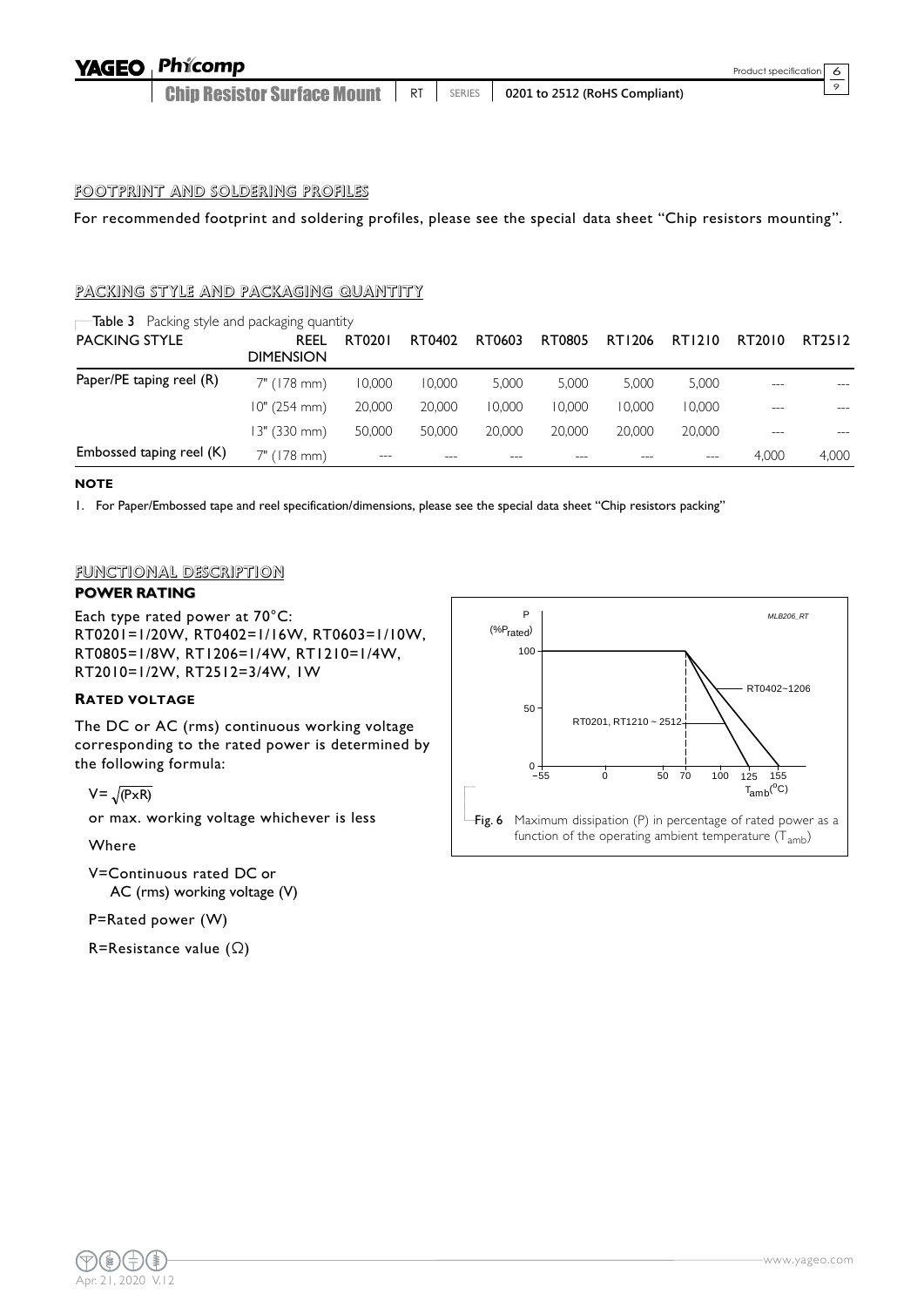#### Phicomp **YAGEO**

Chip Resistor Surface Mount **RT** SERIES **0201 to 2512 (RoHS Compliant)**  。

# FOOTPRINT AND SOLDERING PROFILES

For recommended footprint and soldering profiles, please see the special data sheet "Chip resistors mounting".

# PACKING STYLE AND PACKAGING QUANTITY

| $\blacksquare$ Table 3 Packing style and packaging quantity |                          |        |        |        |        |        |        |        |        |
|-------------------------------------------------------------|--------------------------|--------|--------|--------|--------|--------|--------|--------|--------|
| <b>PACKING STYLE</b>                                        | REEL<br><b>DIMENSION</b> | RT0201 | RT0402 | RT0603 | RT0805 | RT1206 | RT1210 | RT2010 | RT2512 |
| Paper/PE taping reel (R)                                    | 7" (178 mm)              | 10.000 | 10,000 | 5.000  | 5.000  | 5.000  | 5.000  |        |        |
|                                                             | 10" (254 mm)             | 20,000 | 20,000 | 10.000 | 10.000 | 10.000 | 10,000 | ---    | $---$  |
|                                                             | 13" (330 mm)             | 50,000 | 50,000 | 20,000 | 20,000 | 20,000 | 20,000 |        |        |
| Embossed taping reel (K)                                    | 7" (178 mm)              | $---$  | ---    | ---    |        |        | $---$  | 4.000  | 4,000  |

#### **NOTE**

1. For Paper/Embossed tape and reel specification/dimensions, please see the special data sheet "Chip resistors packing"

#### FUNCTIONAL DESCRIPTION

## **POWER RATING**

Each type rated power at 70°C: RT0201=1/20W, RT0402=1/16W, RT0603=1/10W, RT0805=1/8W, RT1206=1/4W, RT1210=1/4W, RT2010=1/2W, RT2512=3/4W, 1W

#### **RATED VOLTAGE**

The DC or AC (rms) continuous working voltage corresponding to the rated power is determined by the following formula:

 $V = \sqrt{(P \times R)}$ 

or max. working voltage whichever is less

Where

V=Continuous rated DC or AC (rms) working voltage (V)

# P=Rated power (W)

R=Resistance value (Ω)

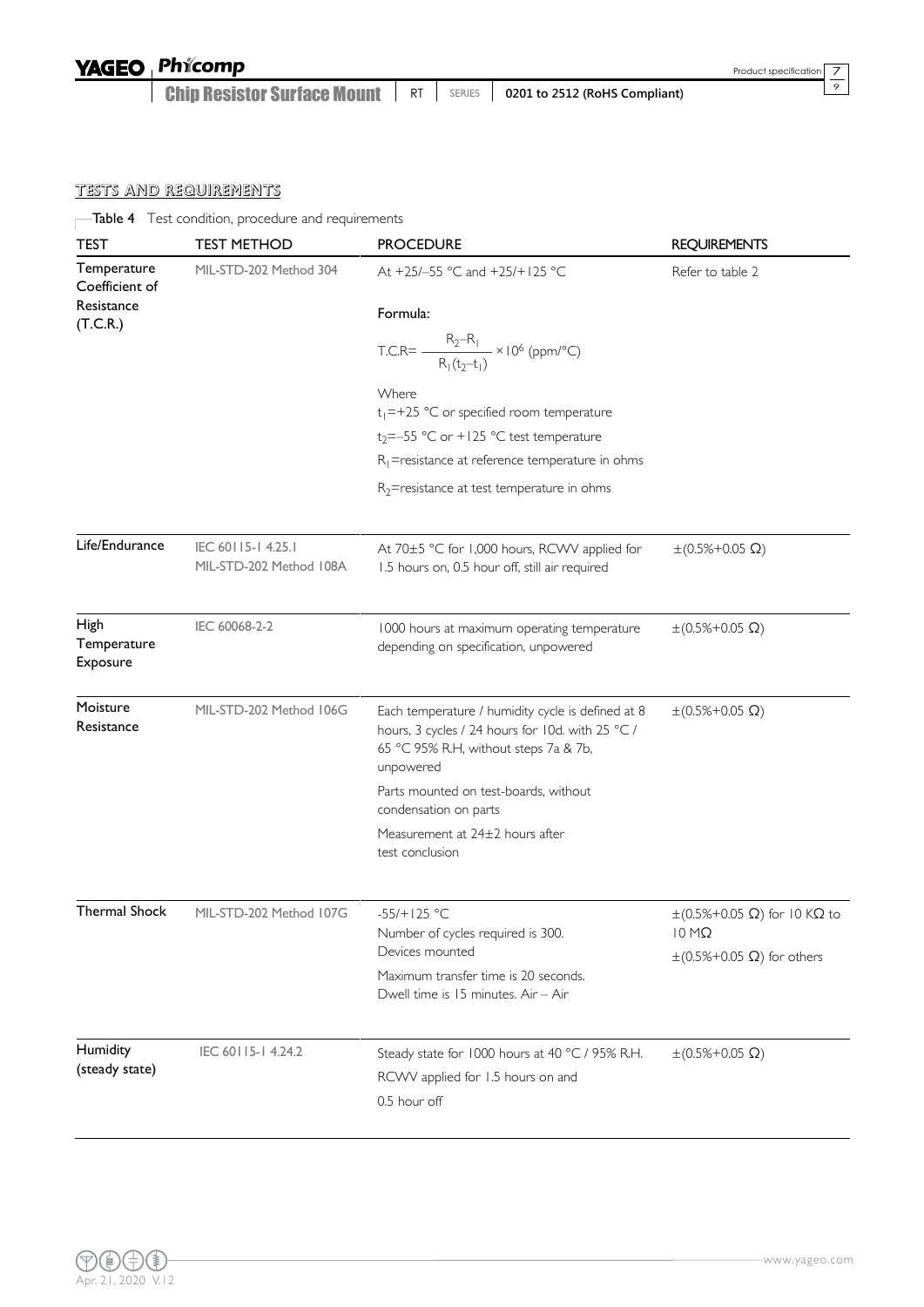| <b>YAGEO</b> Phicomp                                                      |  |  |
|---------------------------------------------------------------------------|--|--|
| Chip Resistor Surface Mount   RT   SERIES   0201 to 2512 (RoHS Compliant) |  |  |

 $\frac{7}{9}$ 

# TESTS AND REQUIREMENTS

Table 4 Test condition, procedure and requirements

| <b>TEST</b>                            | <b>TEST METHOD</b><br><b>PROCEDURE</b>        |                                                                                                                                                             | <b>REQUIREMENTS</b>                                        |  |  |
|----------------------------------------|-----------------------------------------------|-------------------------------------------------------------------------------------------------------------------------------------------------------------|------------------------------------------------------------|--|--|
| Temperature<br>Coefficient of          | MIL-STD-202 Method 304                        | At +25/-55 °C and +25/+125 °C                                                                                                                               | Refer to table 2                                           |  |  |
| Resistance<br>(T.C.R.)                 |                                               | Formula:                                                                                                                                                    |                                                            |  |  |
|                                        |                                               | T.C.R= $\frac{R_2 - R_1}{R_1(t_2 - t_1)} \times 10^6$ (ppm/°C)                                                                                              |                                                            |  |  |
|                                        |                                               | Where<br>$t_1 = +25$ °C or specified room temperature                                                                                                       |                                                            |  |  |
|                                        |                                               | $t_2 = -55$ °C or +125 °C test temperature                                                                                                                  |                                                            |  |  |
|                                        |                                               | $R_1$ =resistance at reference temperature in ohms                                                                                                          |                                                            |  |  |
|                                        |                                               | $R_2$ =resistance at test temperature in ohms                                                                                                               |                                                            |  |  |
| Life/Endurance                         | IEC 60115-1 4.25.1<br>MIL-STD-202 Method 108A | At 70±5 °C for 1,000 hours, RCWV applied for<br>1.5 hours on, 0.5 hour off, still air required                                                              | $\pm (0.5\% + 0.05 \Omega)$                                |  |  |
| <b>High</b><br>Temperature<br>Exposure | IEC 60068-2-2                                 | 1000 hours at maximum operating temperature<br>depending on specification, unpowered                                                                        | $\pm (0.5\% + 0.05 \Omega)$                                |  |  |
| Moisture<br>Resistance                 | MIL-STD-202 Method 106G                       | Each temperature / humidity cycle is defined at 8<br>hours, 3 cycles / 24 hours for 10d. with 25 °C /<br>65 °C 95% R.H, without steps 7a & 7b,<br>unpowered | $\pm (0.5\% + 0.05 \Omega)$                                |  |  |
|                                        |                                               | Parts mounted on test-boards, without<br>condensation on parts                                                                                              |                                                            |  |  |
|                                        |                                               | Measurement at 24±2 hours after<br>test conclusion                                                                                                          |                                                            |  |  |
| Thermal Shock                          | MIL-STD-202 Method 107G                       | $-55/+125 °C$<br>Number of cycles required is 300.                                                                                                          | $\pm$ (0.5%+0.05 Ω) for 10 KΩ to<br>$10 \, \text{M}\Omega$ |  |  |
|                                        |                                               | Devices mounted                                                                                                                                             | $\pm (0.5\% + 0.05 \Omega)$ for others                     |  |  |
|                                        |                                               | Maximum transfer time is 20 seconds.<br>Dwell time is 15 minutes. Air - Air                                                                                 |                                                            |  |  |
| Humidity                               | IEC 60115-14.24.2                             | Steady state for 1000 hours at 40 °C / 95% R.H.                                                                                                             | $\pm (0.5\% + 0.05 \Omega)$                                |  |  |
| (steady state)                         |                                               | RCWV applied for 1.5 hours on and<br>0.5 hour off                                                                                                           |                                                            |  |  |
|                                        |                                               |                                                                                                                                                             |                                                            |  |  |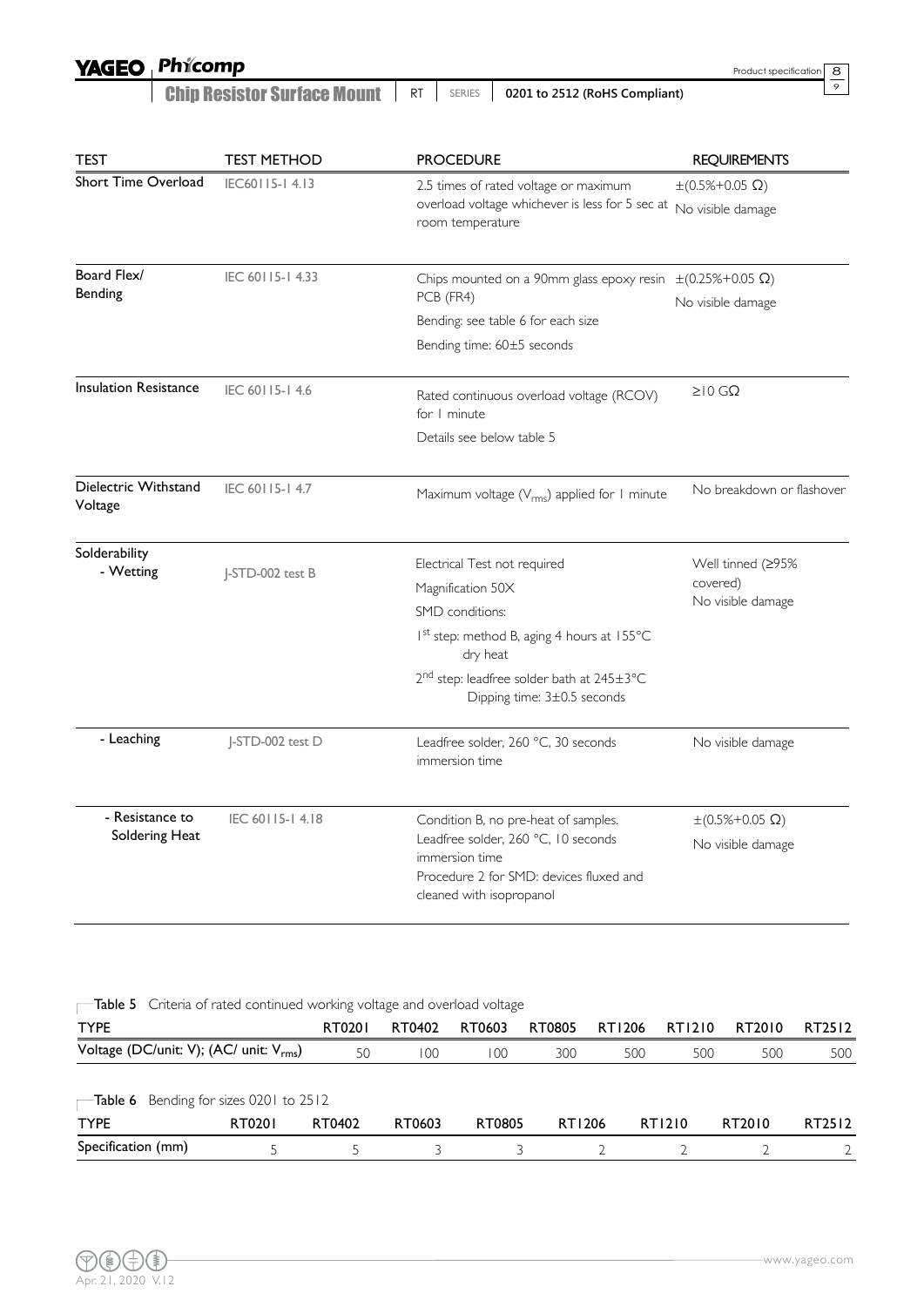# YAGEO Phicomp

| <b>Chip Resistor Surface Mount</b>   RT |  |  | $\vert$ SERIES $\vert$ 0201 to 2512 (RoHS Compliant) |
|-----------------------------------------|--|--|------------------------------------------------------|
|-----------------------------------------|--|--|------------------------------------------------------|

| TEST                            | <b>TEST METHOD</b> | <b>PROCEDURE</b>                                                                     | <b>REQUIREMENTS</b>          |  |  |
|---------------------------------|--------------------|--------------------------------------------------------------------------------------|------------------------------|--|--|
| Short Time Overload             | IEC60115-14.13     | 2.5 times of rated voltage or maximum                                                | $\pm (0.5\% + 0.05 \Omega)$  |  |  |
|                                 |                    | overload voltage whichever is less for 5 sec at                                      | No visible damage            |  |  |
|                                 |                    | room temperature                                                                     |                              |  |  |
| Board Flex/                     | IEC 60115-14.33    | Chips mounted on a 90mm glass epoxy resin                                            | $\pm (0.25\% + 0.05 \Omega)$ |  |  |
| Bending                         |                    | PCB (FR4)                                                                            | No visible damage            |  |  |
|                                 |                    | Bending: see table 6 for each size                                                   |                              |  |  |
|                                 |                    | Bending time: 60±5 seconds                                                           |                              |  |  |
| <b>Insulation Resistance</b>    | IEC 60115-14.6     | Rated continuous overload voltage (RCOV)<br>for I minute                             | ≥ $10$ GΩ                    |  |  |
|                                 |                    | Details see below table 5                                                            |                              |  |  |
| Dielectric Withstand<br>Voltage | IEC 60115-14.7     | Maximum voltage (V <sub>rms</sub> ) applied for I minute                             | No breakdown or flashover    |  |  |
| Solderability                   | J-STD-002 test B   | Electrical Test not required                                                         | Well tinned (≥95%            |  |  |
| - Wetting                       |                    | Magnification 50X                                                                    | covered)                     |  |  |
|                                 |                    | SMD conditions:                                                                      | No visible damage            |  |  |
|                                 |                    | Ist step: method B, aging 4 hours at 155°C<br>dry heat                               |                              |  |  |
|                                 |                    | 2 <sup>nd</sup> step: leadfree solder bath at 245±3°C<br>Dipping time: 3±0.5 seconds |                              |  |  |
| - Leaching                      | J-STD-002 test D   | Leadfree solder, 260 °C, 30 seconds<br>immersion time                                | No visible damage            |  |  |
| - Resistance to                 | IEC 60115-14.18    | Condition B, no pre-heat of samples.                                                 | $\pm (0.5\% + 0.05 \Omega)$  |  |  |
| Soldering Heat                  |                    | Leadfree solder, 260 °C, 10 seconds                                                  | No visible damage            |  |  |
|                                 |                    | immersion time<br>Procedure 2 for SMD: devices fluxed and                            |                              |  |  |
|                                 |                    | cleaned with isopropanol                                                             |                              |  |  |
|                                 |                    |                                                                                      |                              |  |  |

**Table 5** Criteria of rated continued working voltage and overload voltage

| <b>TYPE</b>                                                     |        | RT0201 | RT0402 | RT0603 | RT0805 | RT1206 | RT1210 | RT2010 | RT2512 |
|-----------------------------------------------------------------|--------|--------|--------|--------|--------|--------|--------|--------|--------|
| Voltage (DC/unit: V); (AC/ unit: V <sub>rms</sub> )             |        | 50     | 100    | 100    | 300    | 500    | 500    | 500    | 500    |
| $\overline{\phantom{a}}$ Table 6 Bending for sizes 0201 to 2512 |        |        |        |        |        |        |        |        |        |
| <b>TYPE</b>                                                     | RT0201 | RT0402 | RT0603 | RT0805 | RT1206 |        | RT1210 | RT2010 | RT2512 |
| Specification (mm)                                              |        |        |        |        |        |        |        |        |        |

Product specification

 $\frac{8}{9}$